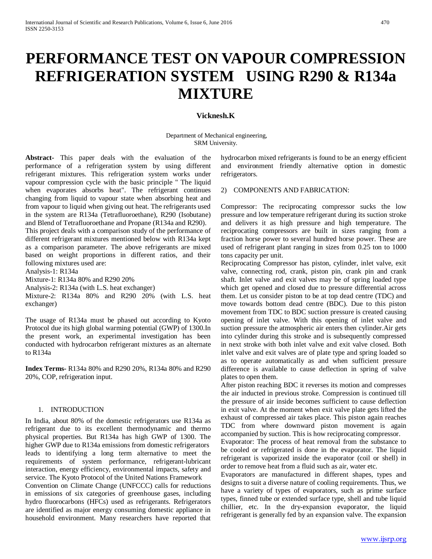# **PERFORMANCE TEST ON VAPOUR COMPRESSION REFRIGERATION SYSTEM USING R290 & R134a MIXTURE**

# **Vicknesh.K**

Department of Mechanical engineering, SRM University.

**Abstract-** This paper deals with the evaluation of the performance of a refrigeration system by using different refrigerant mixtures. This refrigeration system works under vapour compression cycle with the basic principle " The liquid when evaporates absorbs heat". The refrigerant continues changing from liquid to vapour state when absorbing heat and from vapour to liquid when giving out heat. The refrigerants used in the system are R134a (Tetrafluoroethane), R290 (Isobutane) and Blend of Tetrafluoroethane and Propane (R134a and R290).

This project deals with a comparison study of the performance of different refrigerant mixtures mentioned below with R134a kept as a comparison parameter. The above refrigerants are mixed based on weight proportions in different ratios, and their following mixtures used are:

Analysis-1: R134a

Mixture-1: R134a 80% and R290 20%

Analysis-2: R134a (with L.S. heat exchanger)

Mixture-2: R134a 80% and R290 20% (with L.S. heat exchanger)

The usage of R134a must be phased out according to Kyoto Protocol due its high global warming potential (GWP) of 1300.In the present work, an experimental investigation has been conducted with hydrocarbon refrigerant mixtures as an alternate to R134a

**Index Terms-** R134a 80% and R290 20%, R134a 80% and R290 20%, COP, refrigeration input.

## 1. INTRODUCTION

In India, about 80% of the domestic refrigerators use R134a as refrigerant due to its excellent thermodynamic and thermo physical properties. But R134a has high GWP of 1300. The higher GWP due to R134a emissions from domestic refrigerators leads to identifying a long term alternative to meet the requirements of system performance, refrigerant-lubricant interaction, energy efficiency, environmental impacts, safety and service. The Kyoto Protocol of the United Nations Framework Convention on Climate Change (UNFCCC) calls for reductions

in emissions of six categories of greenhouse gases, including hydro fluorocarbons (HFCs) used as refrigerants. Refrigerators are identified as major energy consuming domestic appliance in household environment. Many researchers have reported that

hydrocarbon mixed refrigerants is found to be an energy efficient and environment friendly alternative option in domestic refrigerators.

## 2) COMPONENTS AND FABRICATION:

Compressor: The reciprocating compressor sucks the low pressure and low temperature refrigerant during its suction stroke and delivers it as high pressure and high temperature. The reciprocating compressors are built in sizes ranging from a fraction horse power to several hundred horse power. These are used of refrigerant plant ranging in sizes from 0.25 ton to 1000 tons capacity per unit.

Reciprocating Compressor has piston, cylinder, inlet valve, exit valve, connecting rod, crank, piston pin, crank pin and crank shaft. Inlet valve and exit valves may be of spring loaded type which get opened and closed due to pressure differential across them. Let us consider piston to be at top dead centre (TDC) and move towards bottom dead centre (BDC). Due to this piston movement from TDC to BDC suction pressure is created causing opening of inlet valve. With this opening of inlet valve and suction pressure the atmospheric air enters then cylinder.Air gets into cylinder during this stroke and is subsequently compressed in next stroke with both inlet valve and exit valve closed. Both inlet valve and exit valves are of plate type and spring loaded so as to operate automatically as and when sufficient pressure difference is available to cause deflection in spring of valve plates to open them.

After piston reaching BDC it reverses its motion and compresses the air inducted in previous stroke. Compression is continued till the pressure of air inside becomes sufficient to cause deflection in exit valve. At the moment when exit valve plate gets lifted the exhaust of compressed air takes place. This piston again reaches TDC from where downward piston movement is again accompanied by suction. This is how reciprocating compressor.

Evaporator: The process of heat removal from the substance to be cooled or refrigerated is done in the evaporator. The liquid refrigerant is vaporized inside the evaporator (coil or shell) in order to remove heat from a fluid such as air, water etc.

Evaporators are manufactured in different shapes, types and designs to suit a diverse nature of cooling requirements. Thus, we have a variety of types of evaporators, such as prime surface types, finned tube or extended surface type, shell and tube liquid chillier, etc. In the dry-expansion evaporator, the liquid refrigerant is generally fed by an expansion valve. The expansion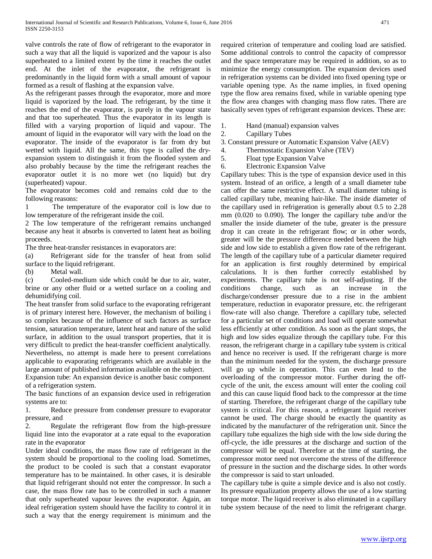valve controls the rate of flow of refrigerant to the evaporator in such a way that all the liquid is vaporized and the vapour is also superheated to a limited extent by the time it reaches the outlet end. At the inlet of the evaporator, the refrigerant is predominantly in the liquid form with a small amount of vapour formed as a result of flashing at the expansion valve.

As the refrigerant passes through the evaporator, more and more liquid is vaporized by the load. The refrigerant, by the time it reaches the end of the evaporator, is purely in the vapour state and that too superheated. Thus the evaporator in its length is filled with a varying proportion of liquid and vapour. The amount of liquid in the evaporator will vary with the load on the evaporator. The inside of the evaporator is far from dry but wetted with liquid. All the same, this type is called the dryexpansion system to distinguish it from the flooded system and also probably because by the time the refrigerant reaches the evaporator outlet it is no more wet (no liquid) but dry (superheated) vapour.

The evaporator becomes cold and remains cold due to the following reasons:

1 The temperature of the evaporator coil is low due to low temperature of the refrigerant inside the coil.

2 The low temperature of the refrigerant remains unchanged because any heat it absorbs is converted to latent heat as boiling proceeds.

The three heat-transfer resistances in evaporators are:

(a) Refrigerant side for the transfer of heat from solid surface to the liquid refrigerant.

(b) Metal wall.

(c) Cooled-medium side which could be due to air, water, brine or any other fluid or a wetted surface on a cooling and dehumidifying coil.

The heat transfer from solid surface to the evaporating refrigerant is of primary interest here. However, the mechanism of boiling i so complex because of the influence of such factors as surface tension, saturation temperature, latent heat and nature of the solid surface, in addition to the usual transport properties, that it is very difficult to predict the heat-transfer coefficient analytically. Nevertheless, no attempt is made here to present correlations applicable to evaporating refrigerants which are available in the large amount of published information available on the subject.

Expansion tube: An expansion device is another basic component of a refrigeration system.

The basic functions of an expansion device used in refrigeration systems are to:

1. Reduce pressure from condenser pressure to evaporator pressure, and

2. Regulate the refrigerant flow from the high-pressure liquid line into the evaporator at a rate equal to the evaporation rate in the evaporator

Under ideal conditions, the mass flow rate of refrigerant in the system should be proportional to the cooling load. Sometimes, the product to be cooled is such that a constant evaporator temperature has to be maintained. In other cases, it is desirable that liquid refrigerant should not enter the compressor. In such a case, the mass flow rate has to be controlled in such a manner that only superheated vapour leaves the evaporator. Again, an ideal refrigeration system should have the facility to control it in such a way that the energy requirement is minimum and the required criterion of temperature and cooling load are satisfied. Some additional controls to control the capacity of compressor and the space temperature may be required in addition, so as to minimize the energy consumption. The expansion devices used in refrigeration systems can be divided into fixed opening type or variable opening type. As the name implies, in fixed opening type the flow area remains fixed, while in variable opening type the flow area changes with changing mass flow rates. There are basically seven types of refrigerant expansion devices. These are:

- 1. Hand (manual) expansion valves
- 2. Capillary Tubes

3. Constant pressure or Automatic Expansion Valve (AEV)

- 4. Thermostatic Expansion Valve (TEV)
- 5. Float type Expansion Valve
- 6. Electronic Expansion Valve

Capillary tubes: This is the type of expansion device used in this system. Instead of an orifice, a length of a small diameter tube can offer the same restrictive effect. A small diameter tubing is called capillary tube, meaning hair-like. The inside diameter of the capillary used in refrigeration is generally about 0.5 to 2.28 mm (0.020 to 0.090). The longer the capillary tube and/or the smaller the inside diameter of the tube, greater is the pressure drop it can create in the refrigerant flow; or in other words, greater will be the pressure difference needed between the high side and low side to establish a given flow rate of the refrigerant. The length of the capillary tube of a particular diameter required for an application is first roughly determined by empirical calculations. It is then further correctly established by experiments. The capillary tube is not self-adjusting. If the conditions change, such as an increase in the discharge/condenser pressure due to a rise in the ambient temperature, reduction in evaporator pressure, etc. the refrigerant flow-rate will also change. Therefore a capillary tube, selected for a particular set of conditions and load will operate somewhat less efficiently at other condition. As soon as the plant stops, the high and low sides equalize through the capillary tube. For this reason, the refrigerant charge in a capillary tube system is critical and hence no receiver is used. If the refrigerant charge is more than the minimum needed for the system, the discharge pressure will go up while in operation. This can even lead to the overloading of the compressor motor. Further during the offcycle of the unit, the excess amount will enter the cooling coil and this can cause liquid flood back to the compressor at the time of starting. Therefore, the refrigerant charge of the capillary tube system is critical. For this reason, a refrigerant liquid receiver cannot be used. The charge should be exactly the quantity as indicated by the manufacturer of the refrigeration unit. Since the capillary tube equalizes the high side with the low side during the off-cycle, the idle pressures at the discharge and suction of the compressor will be equal. Therefore at the time of starting, the compressor motor need not overcome the stress of the difference of pressure in the suction and the discharge sides. In other words the compressor is said to start unloaded.

The capillary tube is quite a simple device and is also not costly. Its pressure equalization property allows the use of a low starting torque motor. The liquid receiver is also eliminated in a capillary tube system because of the need to limit the refrigerant charge.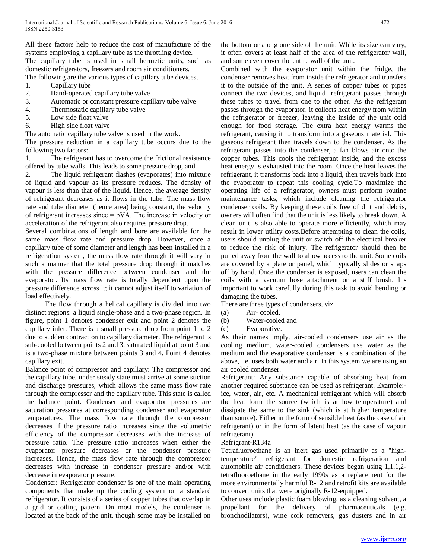All these factors help to reduce the cost of manufacture of the systems employing a capillary tube as the throttling device. The capillary tube is used in small hermetic units, such as domestic refrigerators, freezers and room air conditioners. The following are the various types of capillary tube devices,

- 1. Capillary tube
- 2. Hand-operated capillary tube valve
- 3. Automatic or constant pressure capillary tube valve
- 4. Thermostatic capillary tube valve
- 5. Low side float valve
- 6. High side float valve

The automatic capillary tube valve is used in the work.

The pressure reduction in a capillary tube occurs due to the following two factors:

1. The refrigerant has to overcome the frictional resistance offered by tube walls. This leads to some pressure drop, and

2. The liquid refrigerant flashes (evaporates) into mixture of liquid and vapour as its pressure reduces. The density of vapour is less than that of the liquid. Hence, the average density of refrigerant decreases as it flows in the tube. The mass flow rate and tube diameter (hence area) being constant, the velocity of refrigerant increases since  $= \rho V A$ . The increase in velocity or acceleration of the refrigerant also requires pressure drop.

Several combinations of length and bore are available for the same mass flow rate and pressure drop. However, once a capillary tube of some diameter and length has been installed in a refrigeration system, the mass flow rate through it will vary in such a manner that the total pressure drop through it matches with the pressure difference between condenser and the evaporator. Its mass flow rate is totally dependent upon the pressure difference across it; it cannot adjust itself to variation of load effectively.

 The flow through a helical capillary is divided into two distinct regions: a liquid single-phase and a two-phase region. In figure, point 1 denotes condenser exit and point 2 denotes the capillary inlet. There is a small pressure drop from point 1 to 2 due to sudden contraction to capillary diameter. The refrigerant is sub-cooled between points 2 and 3, saturated liquid at point 3 and is a two-phase mixture between points 3 and 4. Point 4 denotes capillary exit.

Balance point of compressor and capillary: The compressor and the capillary tube, under steady state must arrive at some suction and discharge pressures, which allows the same mass flow rate through the compressor and the capillary tube. This state is called the balance point. Condenser and evaporator pressures are saturation pressures at corresponding condenser and evaporator temperatures. The mass flow rate through the compressor decreases if the pressure ratio increases since the volumetric efficiency of the compressor decreases with the increase of pressure ratio. The pressure ratio increases when either the evaporator pressure decreases or the condenser pressure increases. Hence, the mass flow rate through the compressor decreases with increase in condenser pressure and/or with decrease in evaporator pressure.

Condenser: Refrigerator condenser is one of the main operating components that make up the cooling system on a standard refrigerator. It consists of a series of copper tubes that overlap in a grid or coiling pattern. On most models, the condenser is located at the back of the unit, though some may be installed on the bottom or along one side of the unit. While its size can vary, it often covers at least half of the area of the refrigerator wall, and some even cover the entire wall of the unit.

Combined with the evaporator unit within the fridge, the condenser removes heat from inside the refrigerator and transfers it to the outside of the unit. A series of copper tubes or pipes connect the two devices, and liquid refrigerant passes through these tubes to travel from one to the other. As the refrigerant passes through the evaporator, it collects heat energy from within the refrigerator or freezer, leaving the inside of the unit cold enough for food storage. The extra heat energy warms the refrigerant, causing it to transform into a gaseous material. This gaseous refrigerant then travels down to the condenser. As the refrigerant passes into the condenser, a fan blows air onto the copper tubes. This cools the refrigerant inside, and the excess heat energy is exhausted into the room. Once the heat leaves the refrigerant, it transforms back into a liquid, then travels back into the evaporator to repeat this cooling cycle.To maximize the operating life of a refrigerator, owners must perform routine maintenance tasks, which include cleaning the refrigerator condenser coils. By keeping these coils free of dirt and debris, owners will often find that the unit is less likely to break down. A clean unit is also able to operate more efficiently, which may result in lower utility costs.Before attempting to clean the coils, users should unplug the unit or switch off the electrical breaker to reduce the risk of injury. The refrigerator should then be pulled away from the wall to allow access to the unit. Some coils are covered by a plate or panel, which typically slides or snaps off by hand. Once the condenser is exposed, users can clean the coils with a vacuum hose attachment or a stiff brush. It's important to work carefully during this task to avoid bending or damaging the tubes.

There are three types of condensers, viz.

- (a) Air- cooled,
- (b) Water-cooled and
- (c) Evaporative.

As their names imply, air-cooled condensers use air as the cooling medium, water-cooled condensers use water as the medium and the evaporative condenser is a combination of the above, i.e. uses both water and air. In this system we are using an air cooled condenser.

Refrigerant: Any substance capable of absorbing heat from another required substance can be used as refrigerant. Example: ice, water, air, etc. A mechanical refrigerant which will absorb the heat form the source (which is at low temperature) and dissipate the same to the sink (which is at higher temperature than source). Either in the form of sensible heat (as the case of air refrigerant) or in the form of latent heat (as the case of vapour refrigerant).

# Refrigrant-R134a

Tetrafluoroethane is an inert gas used primarily as a "hightemperature" refrigerant for domestic refrigeration and automobile air conditioners. These devices began using 1,1,1,2 tetrafluoroethane in the early 1990s as a replacement for the more environmentally harmful R-12 and retrofit kits are available to convert units that were originally R-12-equipped.

Other uses include plastic foam blowing, as a cleaning solvent, a propellant for the delivery of pharmaceuticals (e.g. bronchodilators), wine cork removers, gas dusters and in air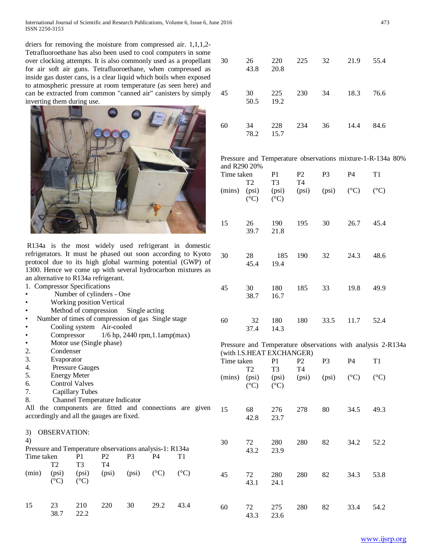International Journal of Scientific and Research Publications, Volume 6, Issue 6, June 2016 473 ISSN 2250-3153

driers for removing the moisture from compressed air. 1,1,1,2- Tetrafluoroethane has also been used to cool computers in some over clocking attempts. It is also commonly used as a propellant for air soft air guns. Tetrafluoroethane, when compressed as inside gas duster cans, is a clear liquid which boils when exposed to atmospheric pressure at room temperature (as seen here) and can be extracted from common "canned air" canisters by simply inverting them during use.



R134a is the most widely used refrigerant in domestic refrigerators. It must be phased out soon according to Kyoto protocol due to its high global warming potential (GWP) of 1300. Hence we come up with several hydrocarbon mixtures as an alternative to R134a refrigerant.

1. Compressor Specifications

- Number of cylinders One
- Working position Vertical
- Method of compression Single acting
- Number of times of compression of gas Single stage
- Cooling system Air-cooled
- Compressor  $1/6$  hp, 2440 rpm, 1.1amp(max)
- Motor use (Single phase)
- 2. Condenser
- 3. Evaporator
- 4. Pressure Gauges
- 5. Energy Meter
- 6. Control Valves<br>7. Capillary Tube
- Capillary Tubes
- 8. Channel Temperature Indicator

All the components are fitted and connections are given accordingly and all the gauges are fixed.

|            | <b>OBSERVATION:</b> |                                                         |                |              |    |               |
|------------|---------------------|---------------------------------------------------------|----------------|--------------|----|---------------|
| 4)         |                     |                                                         |                |              |    |               |
|            |                     | Pressure and Temperature observations analysis-1: R134a |                |              |    |               |
| Time taken |                     | P1                                                      | P <sub>2</sub> | P3           | P4 | Τ1            |
|            | T2.                 | T3                                                      | T4             |              |    |               |
| (min)      | (psi)               | (psi)                                                   | (psi)          | $(psi)$ (°C) |    | $(^{\circ}C)$ |
|            | $(^{\circ}C)$       | $(^{\circ}C)$                                           |                |              |    |               |
|            |                     |                                                         |                |              |    |               |
|            |                     |                                                         |                |              |    |               |
| 15         | 23                  | 210                                                     |                | 30           |    |               |

38.7 22.2

| 30 | 26<br>43.8 | 220<br>20.8 | 225 | 32 | 21.9 | 55.4 |
|----|------------|-------------|-----|----|------|------|
| 45 | 30<br>50.5 | 225<br>19.2 | 230 | 34 | 18.3 | 76.6 |
| 60 | 34<br>78.2 | 228<br>15.7 | 234 | 36 | 14.4 | 84.6 |

Pressure and Temperature observations mixture-1-R-134a 80% and R290 20%

| Time taken<br>T <sub>2</sub> |                          | P1<br>T3                 | P <sub>2</sub><br>T4 | P <sub>3</sub> | P4            | T1              |
|------------------------------|--------------------------|--------------------------|----------------------|----------------|---------------|-----------------|
| (mins)                       | (psi)<br>$({}^{\circ}C)$ | (psi)<br>$({}^{\circ}C)$ | (psi)                | (psi)          | $(^{\circ}C)$ | $({}^{\circ}C)$ |
| 15                           | 26<br>39.7               | 190<br>21.8              | 195                  | 30             | 26.7          | 45.4            |
| 30                           | 28<br>45.4               | 185<br>19.4              | 190                  | 32             | 24.3          | 48.6            |
| 45                           | 30<br>38.7               | 180<br>16.7              | 185                  | 33             | 19.8          | 49.9            |
| 60                           | 32<br>37.4               | 180<br>14.3              | 180                  | 33.5           | 11.7          | 52.4            |

Pressure and Temperature observations with analysis 2-R134a (with l.S.HEAT EXCHANGER)

| Time taken | T2              | P <sub>1</sub><br>T <sub>3</sub>          | P2<br>T4 | P <sub>3</sub>        | <b>P4</b> | T <sub>1</sub>  |
|------------|-----------------|-------------------------------------------|----------|-----------------------|-----------|-----------------|
|            | $({}^{\circ}C)$ | (mins) (psi) (psi) (psi)<br>$(^{\circ}C)$ |          | $(psi)$ $(^{\circ}C)$ |           | $({}^{\circ}C)$ |
| 15         | 68<br>42.8      | 276<br>23.7                               | 278      | 80                    | 34.5      | 49.3            |
| 30         | 72<br>43.2      | 280<br>23.9                               | 280      | 82                    | 34.2      | 52.2            |
| 45         | 72<br>43.1      | 280<br>24.1                               | 280      | 82                    | 34.3      | 53.8            |
| 60         | 72<br>43.3      | 275<br>23.6                               | 280      | 82                    | 33.4      | 54.2            |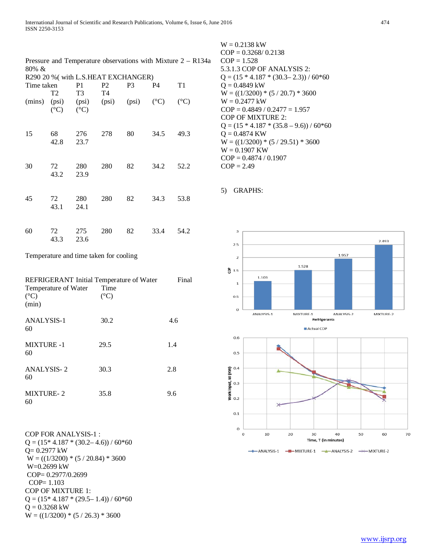| Pressure and Temperature observations with Mixture $2 - R134a$<br>$80\% \&$<br>R290 20 % (with L.S.HEAT EXCHANGER) |                             |                                  |                                                 |                |      |                 |  |
|--------------------------------------------------------------------------------------------------------------------|-----------------------------|----------------------------------|-------------------------------------------------|----------------|------|-----------------|--|
|                                                                                                                    |                             |                                  |                                                 |                |      |                 |  |
| Time taken                                                                                                         | T2                          | P <sub>1</sub><br>T <sub>3</sub> | P2<br>T <sub>4</sub>                            | P <sub>3</sub> | P4   | T <sub>1</sub>  |  |
| (mins)                                                                                                             | $(^{\circ}C)$ $(^{\circ}C)$ |                                  | (psi) $(psi)$ (psi) $(psi)$ (psi) $(^{\circ}C)$ |                |      | $({}^{\circ}C)$ |  |
| 15                                                                                                                 | 68<br>42.8                  | 276<br>23.7                      | 278                                             | 80             | 34.5 | 49.3            |  |
| 30                                                                                                                 | 72<br>43.2                  | 280<br>23.9                      | 280                                             | 82             | 34.2 | 52.2            |  |
| 45                                                                                                                 | 72<br>43.1                  | 280<br>24.1                      | 280                                             | 82             | 34.3 | 53.8            |  |
| 60                                                                                                                 | 72<br>43.3                  | 275<br>23.6                      | 280                                             | 82             | 33.4 | 54.2            |  |

W = 0.2138 kW  $COP = 0.3268 / 0.2138$  $COP = 1.528$ 5.3.1.3 COP OF ANALYSIS 2:  $Q = (15 * 4.187 * (30.3 - 2.3)) / 60 * 60$  $Q = 0.4849$  kW  $W = ((1/3200) * (5 / 20.7) * 3600$ W = 0.2477 kW  $COP = 0.4849 / 0.2477 = 1.957$ COP OF MIXTURE 2:  $Q = (15 * 4.187 * (35.8 - 9.6)) / 60 * 60$  $Q = 0.4874$  KW  $W = ((1/3200) * (5 / 29.51) * 3600$ W = 0.1907 KW  $COP = 0.4874 / 0.1907$  $COP = 2.49$ 





| REFRIGERANT Initial Temperature of Water |                 | Final |
|------------------------------------------|-----------------|-------|
| Temperature of Water                     | Time            |       |
| $(^{\circ}C)$                            | $({}^{\circ}C)$ |       |
| (min)                                    |                 |       |
| <b>ANALYSIS-1</b>                        | 30.2            | 4.6   |
| 60                                       |                 |       |
| <b>MIXTURE -1</b>                        | 29.5            | 1.4   |
| 60                                       |                 |       |
| <b>ANALYSIS-2</b>                        | 30.3            | 2.8   |
| 60                                       |                 |       |
| <b>MIXTURE-2</b>                         | 35.8            | 9.6   |
| 60                                       |                 |       |
|                                          |                 |       |

COP FOR ANALYSIS-1 :  $Q = (15*4.187*(30.2-4.6))/60*60$ Q= 0.2977 kW  $W = ((1/3200) * (5 / 20.84) * 3600$ W=0.2699 kW COP= 0.2977/0.2699 COP= 1.103 COP OF MIXTURE 1:  $Q = (15*4.187*(29.5-1.4))/60*60$  $Q = 0.3268$  kW  $W = ((1/3200) * (5 / 26.3) * 3600$ 



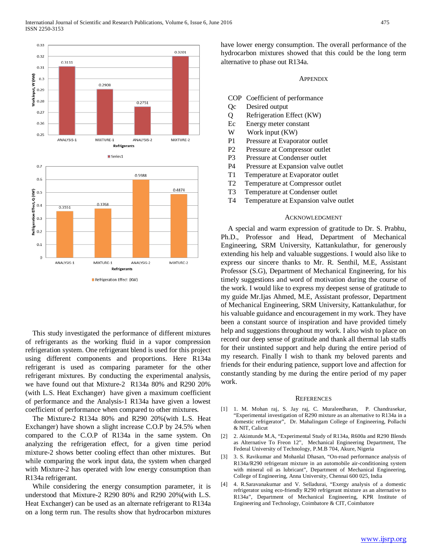

This study investigated the performance of different mixtures of refrigerants as the working fluid in a vapor compression refrigeration system. One refrigerant blend is used for this project using different components and proportions. Here R134a refrigerant is used as comparing parameter for the other refrigerant mixtures. By conducting the experimental analysis, we have found out that Mixture-2 R134a 80% and R290 20% (with L.S. Heat Exchanger) have given a maximum coefficient of performance and the Analysis-1 R134a have given a lowest coefficient of performance when compared to other mixtures.

The Mixture-2 R134a 80% and R290 20%(with L.S. Heat Exchanger) have shown a slight increase C.O.P by 24.5% when compared to the C.O.P of R134a in the same system. On analyzing the refrigeration effect, for a given time period mixture-2 shows better cooling effect than other mixtures. But while comparing the work input data, the system when charged with Mixture-2 has operated with low energy consumption than R134a refrigerant.

While considering the energy consumption parameter, it is understood that Mixture-2 R290 80% and R290 20%(with L.S. Heat Exchanger) can be used as an alternate refrigerant to R134a on a long term run. The results show that hydrocarbon mixtures

have lower energy consumption. The overall performance of the hydrocarbon mixtures showed that this could be the long term alternative to phase out R134a.

**APPENDIX** 

- COP Coefficient of performance
- Qc Desired output
- Q Refrigeration Effect (KW)
- Ec Energy meter constant
- W Work input (KW)
- P1 Pressure at Evaporator outlet
- P2 Pressure at Compressor outlet
- P3 Pressure at Condenser outlet
- P4 Pressure at Expansion valve outlet
- T1 Temperature at Evaporator outlet
- T2 Temperature at Compressor outlet
- T3 Temperature at Condenser outlet
- T4 Temperature at Expansion valve outlet

#### ACKNOWLEDGMENT

A special and warm expression of gratitude to Dr. S. Prabhu, Ph.D., Professor and Head, Department of Mechanical Engineering, SRM University, Kattankulathur, for generously extending his help and valuable suggestions. I would also like to express our sincere thanks to Mr. R. Senthil, M.E, Assistant Professor (S.G), Department of Mechanical Engineering, for his timely suggestions and word of motivation during the course of the work. I would like to express my deepest sense of gratitude to my guide Mr.Ijas Ahmed, M.E, Assistant professor, Department of Mechanical Engineering, SRM University, Kattankulathur, for his valuable guidance and encouragement in my work. They have been a constant source of inspiration and have provided timely help and suggestions throughout my work. I also wish to place on record our deep sense of gratitude and thank all thermal lab staffs for their unstinted support and help during the entire period of my research. Finally I wish to thank my beloved parents and friends for their enduring patience, support love and affection for constantly standing by me during the entire period of my paper work.

## **REFERENCES**

- [1] 1. M. Mohan raj, S. Jay raj, C. Muraleedharan, P. Chandrasekar, "Experimental investigation of R290 mixture as an alternative to R134a in a domestic refrigerator", Dr. Mahalingam College of Engineering, Pollachi & NIT, Calicut
- [2] 2. Akintunde M.A, "Experimental Study of R134a, R600a and R290 Blends as Alternative To Freon 12", Mechanical Engineering Department, The Federal University of Technology, P.M.B 704, Akure, Nigeria
- [3] 3. S. Ravikumar and Mohanlal Dhasan, "On-road performance analysis of R134a/R290 refrigerant mixture in an automobile air-conditioning system with mineral oil as lubricant", Department of Mechanical Engineering, College of Engineering, Anna University, Chennai 600 025, India
- [4] 4. R.Saravanakumar and V. Selladurai, "Exergy analysis of a domestic refrigerator using eco-friendly R290 refrigerant mixture as an alternative to R134a", Department of Mechanical Engineering, KPR Institute of Engineering and Technology, Coimbatore & CIT, Coimbatore